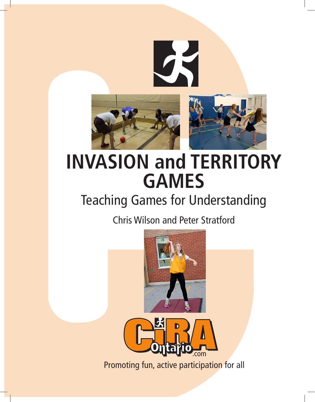

# **INVASION and TERRITORY GAMES**

# Teaching Games for Understanding

Chris Wilson and Peter Stratford





Promoting fun, active participation for all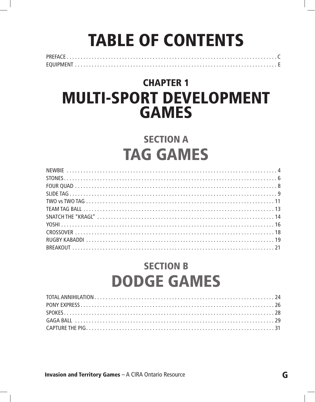# **TABLE OF CONTENTS**

## **CHAPTER 1** Multi-Sport Development **GAMES**

### **SECTION A** Tag Games

### Section B DODGE GAMES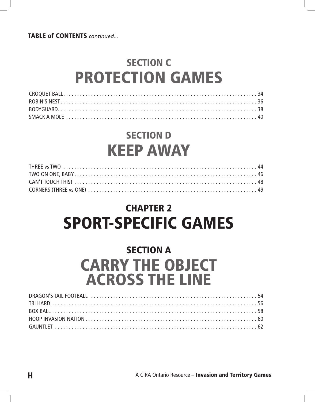TABLE of CONTENTS *continued...*

### Section C Protection Games

### Section D Keep Away

### **CHAPTER 2** Sport-Specific Games

### **SECTION A** Carry the object across the line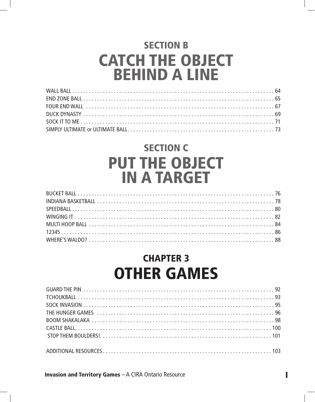## Section B **CATCH THE OBJECT** behind a line

### Section C Put the object in a target

### **CHAPTER 3 OTHER GAMES**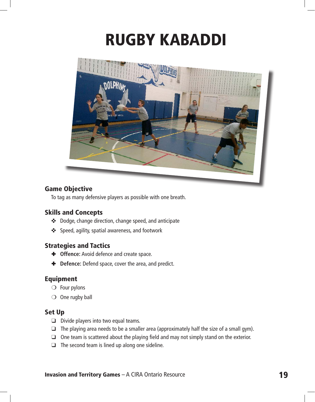# Rugby Kabaddi



#### Game Objective

To tag as many defensive players as possible with one breath.

#### Skills and Concepts

- ✜ Dodge, change direction, change speed, and anticipate
- ✜ Speed, agility, spatial awareness, and footwork

#### Strategies and Tactics

- ✚ **Offence:** Avoid defence and create space.
- $+$  **Defence:** Defend space, cover the area, and predict.

#### Equipment

- $\bigcirc$  Four pylons
- $\bigcirc$  One rugby ball

#### Set Up

- ❑ Divide players into two equal teams.
- ❑ The playing area needs to be a smaller area (approximately half the size of a small gym).
- ❑ One team is scattered about the playing field and may not simply stand on the exterior.
- ❑ The second team is lined up along one sideline.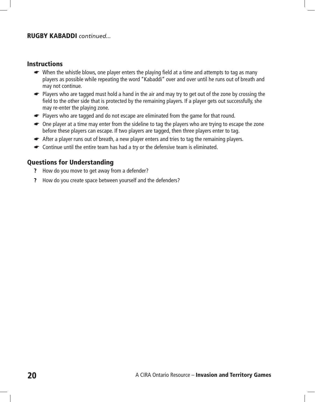#### RUGBY KABADDI *continued...*

#### Instructions

- ☛ When the whistle blows, one player enters the playing field at a time and attempts to tag as many players as possible while repeating the word "Kabaddi" over and over until he runs out of breath and may not continue.
- ☛ Players who are tagged must hold a hand in the air and may try to get out of the zone by crossing the field to the other side that is protected by the remaining players. If a player gets out successfully, she may re-enter the playing zone.
- ☛ Players who are tagged and do not escape are eliminated from the game for that round.
- ☛ One player at a time may enter from the sideline to tag the players who are trying to escape the zone before these players can escape. If two players are tagged, then three players enter to tag.
- ☛ After a player runs out of breath, a new player enters and tries to tag the remaining players.
- ☛ Continue until the entire team has had a try or the defensive team is eliminated.

- ? How do you move to get away from a defender?
- ? How do you create space between yourself and the defenders?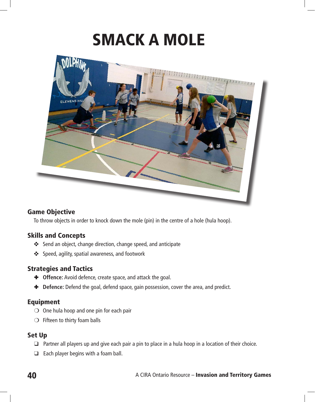# Smack a Mole



#### Game Objective

To throw objects in order to knock down the mole (pin) in the centre of a hole (hula hoop).

#### Skills and Concepts

- ✜ Send an object, change direction, change speed, and anticipate
- ✜ Speed, agility, spatial awareness, and footwork

#### Strategies and Tactics

- ✚ **Offence:** Avoid defence, create space, and attack the goal.
- $\blacklozenge$  **Defence:** Defend the goal, defend space, gain possession, cover the area, and predict.

#### Equipment

- $\bigcirc$  One hula hoop and one pin for each pair
- $\bigcirc$  Fifteen to thirty foam balls

#### Set Up

- ❑ Partner all players up and give each pair a pin to place in a hula hoop in a location of their choice.
- $\Box$  Each player begins with a foam ball.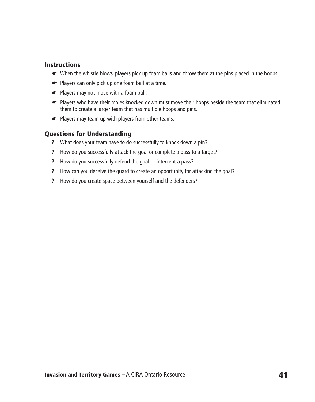#### **Instructions**

- ☛ When the whistle blows, players pick up foam balls and throw them at the pins placed in the hoops.
- ☛ Players can only pick up one foam ball at a time.
- ☛ Players may not move with a foam ball.
- ☛ Players who have their moles knocked down must move their hoops beside the team that eliminated them to create a larger team that has multiple hoops and pins.
- ☛ Players may team up with players from other teams.

- ? What does your team have to do successfully to knock down a pin?
- ? How do you successfully attack the goal or complete a pass to a target?
- ? How do you successfully defend the goal or intercept a pass?
- ? How can you deceive the guard to create an opportunity for attacking the goal?
- ? How do you create space between yourself and the defenders?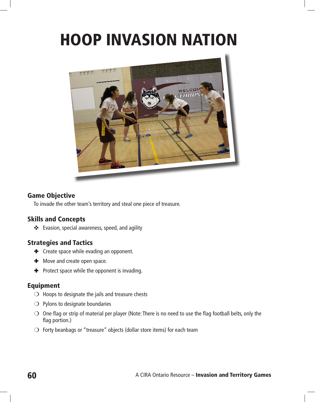# Hoop Invasion Nation



#### Game Objective

To invade the other team's territory and steal one piece of treasure.

#### Skills and Concepts

✜ Evasion, special awareness, speed, and agility

#### Strategies and Tactics

- $\text{■}$  Create space while evading an opponent.
- $\textbf{+}$  Move and create open space.
- ✚ Protect space while the opponent is invading.

#### Equipment

- $\bigcirc$  Hoops to designate the jails and treasure chests
- ❍ Pylons to designate boundaries
- $\bigcirc$  One flag or strip of material per player (Note: There is no need to use the flag football belts, only the flag portion.)
- $\bigcirc$  Forty beanbags or "treasure" objects (dollar store items) for each team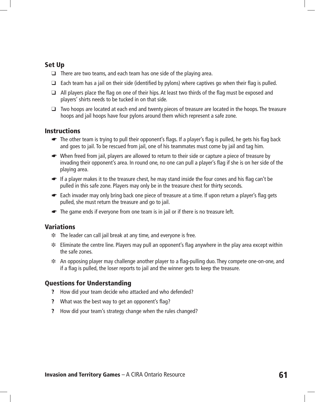#### Set Up

- ❑ There are two teams, and each team has one side of the playing area.
- $\Box$  Each team has a jail on their side (identified by pylons) where captives go when their flag is pulled.
- ❑ All players place the flag on one of their hips. At least two thirds of the flag must be exposed and players' shirts needs to be tucked in on that side.
- ❑ Two hoops are located at each end and twenty pieces of treasure are located in the hoops. The treasure hoops and jail hoops have four pylons around them which represent a safe zone.

#### **Instructions**

- ☛ The other team is trying to pull their opponent's flags. If a player's flag is pulled, he gets his flag back and goes to jail. To be rescued from jail, one of his teammates must come by jail and tag him.
- ☛ When freed from jail, players are allowed to return to their side or capture a piece of treasure by invading their opponent's area. In round one, no one can pull a player's flag if she is on her side of the playing area.
- ☛ If a player makes it to the treasure chest, he may stand inside the four cones and his flag can't be pulled in this safe zone. Players may only be in the treasure chest for thirty seconds.
- Each invader may only bring back one piece of treasure at a time. If upon return a player's flag gets pulled, she must return the treasure and go to jail.
- ☛ The game ends if everyone from one team is in jail or if there is no treasure left.

#### Variations

- ❉ The leader can call jail break at any time, and everyone is free.
- ❉ Eliminate the centre line. Players may pull an opponent's flag anywhere in the play area except within the safe zones.
- ❉ An opposing player may challenge another player to a flag-pulling duo. They compete one-on-one, and if a flag is pulled, the loser reports to jail and the winner gets to keep the treasure.

- ? How did your team decide who attacked and who defended?
- ? What was the best way to get an opponent's flag?
- ? How did your team's strategy change when the rules changed?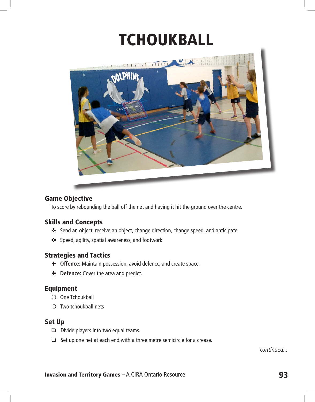# **TCHOUKBALL**



#### Game Objective

To score by rebounding the ball off the net and having it hit the ground over the centre.

#### Skills and Concepts

- ✜ Send an object, receive an object, change direction, change speed, and anticipate
- ✜ Speed, agility, spatial awareness, and footwork

#### Strategies and Tactics

- ✚ **Offence:** Maintain possession, avoid defence, and create space.
- $\bullet$  **Defence:** Cover the area and predict.

#### Equipment

- ❍ One Tchoukball
- $\bigcirc$  Two tchoukball nets

#### Set Up

- ❑ Divide players into two equal teams.
- ❑ Set up one net at each end with a three metre semicircle for a crease.

*continued...*